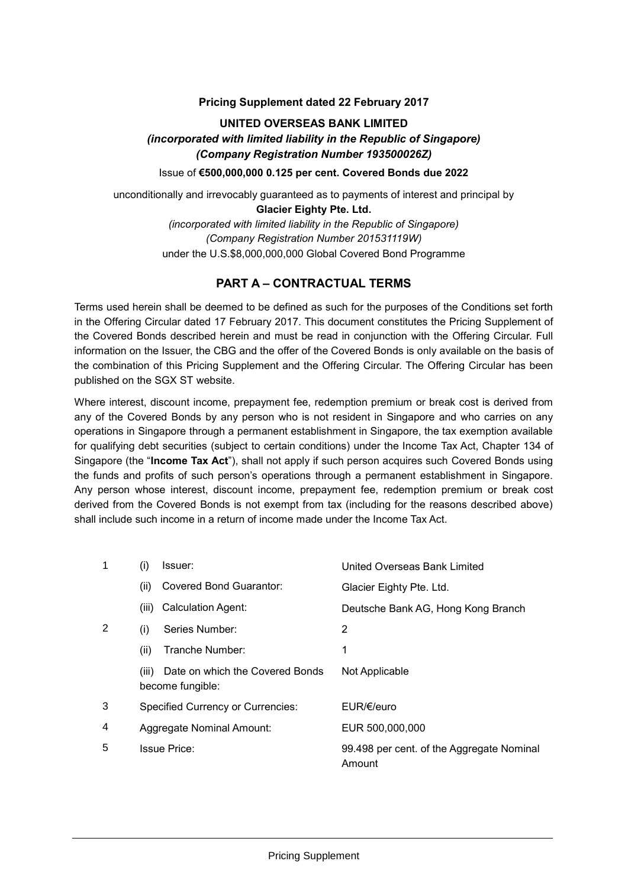#### **Pricing Supplement dated 22 February 2017**

# **UNITED OVERSEAS BANK LIMITED** *(incorporated with limited liability in the Republic of Singapore) (Company Registration Number 193500026Z)* Issue of **€500,000,000 0.125 per cent. Covered Bonds due 2022**

unconditionally and irrevocably guaranteed as to payments of interest and principal by

**Glacier Eighty Pte. Ltd.** *(incorporated with limited liability in the Republic of Singapore) (Company Registration Number 201531119W)* under the U.S.\$8,000,000,000 Global Covered Bond Programme

## **PART A – CONTRACTUAL TERMS**

Terms used herein shall be deemed to be defined as such for the purposes of the Conditions set forth in the Offering Circular dated 17 February 2017. This document constitutes the Pricing Supplement of the Covered Bonds described herein and must be read in conjunction with the Offering Circular. Full information on the Issuer, the CBG and the offer of the Covered Bonds is only available on the basis of the combination of this Pricing Supplement and the Offering Circular. The Offering Circular has been published on the SGX ST website.

Where interest, discount income, prepayment fee, redemption premium or break cost is derived from any of the Covered Bonds by any person who is not resident in Singapore and who carries on any operations in Singapore through a permanent establishment in Singapore, the tax exemption available for qualifying debt securities (subject to certain conditions) under the Income Tax Act, Chapter 134 of Singapore (the "**Income Tax Act**"), shall not apply if such person acquires such Covered Bonds using the funds and profits of such person's operations through a permanent establishment in Singapore. Any person whose interest, discount income, prepayment fee, redemption premium or break cost derived from the Covered Bonds is not exempt from tax (including for the reasons described above) shall include such income in a return of income made under the Income Tax Act.

| 1 | (i)   | Issuer:                                             | United Overseas Bank Limited                        |
|---|-------|-----------------------------------------------------|-----------------------------------------------------|
|   | (ii)  | Covered Bond Guarantor:                             | Glacier Eighty Pte. Ltd.                            |
|   | (iii) | Calculation Agent:                                  | Deutsche Bank AG, Hong Kong Branch                  |
| 2 | (i)   | Series Number:                                      | 2                                                   |
|   | (ii)  | Tranche Number:                                     | 1                                                   |
|   | (iii) | Date on which the Covered Bonds<br>become fungible: | Not Applicable                                      |
| 3 |       | Specified Currency or Currencies:                   | EUR/E/euro                                          |
| 4 |       | Aggregate Nominal Amount:                           | EUR 500,000,000                                     |
| 5 |       | <b>Issue Price:</b>                                 | 99.498 per cent. of the Aggregate Nominal<br>Amount |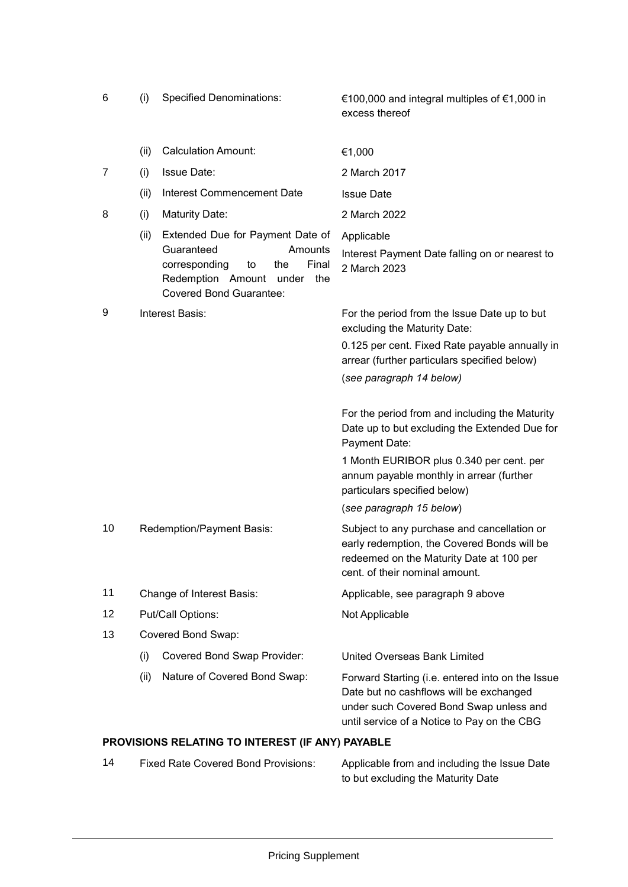| 6  | (i)                       | <b>Specified Denominations:</b>                                                                                                                                         | €100,000 and integral multiples of €1,000 in<br>excess thereof                                                                                                                        |
|----|---------------------------|-------------------------------------------------------------------------------------------------------------------------------------------------------------------------|---------------------------------------------------------------------------------------------------------------------------------------------------------------------------------------|
|    | (ii)                      | <b>Calculation Amount:</b>                                                                                                                                              | €1,000                                                                                                                                                                                |
| 7  | (i)                       | <b>Issue Date:</b>                                                                                                                                                      | 2 March 2017                                                                                                                                                                          |
|    | (ii)                      | <b>Interest Commencement Date</b>                                                                                                                                       | <b>Issue Date</b>                                                                                                                                                                     |
| 8  | (i)                       | <b>Maturity Date:</b>                                                                                                                                                   | 2 March 2022                                                                                                                                                                          |
|    | (ii)                      | Extended Due for Payment Date of<br>Guaranteed<br>Amounts<br>Final<br>corresponding<br>the<br>to<br>Redemption Amount<br>under<br>the<br><b>Covered Bond Guarantee:</b> | Applicable<br>Interest Payment Date falling on or nearest to<br>2 March 2023                                                                                                          |
| 9  | Interest Basis:           |                                                                                                                                                                         | For the period from the Issue Date up to but<br>excluding the Maturity Date:                                                                                                          |
|    |                           |                                                                                                                                                                         | 0.125 per cent. Fixed Rate payable annually in<br>arrear (further particulars specified below)                                                                                        |
|    |                           |                                                                                                                                                                         | (see paragraph 14 below)                                                                                                                                                              |
|    |                           |                                                                                                                                                                         | For the period from and including the Maturity<br>Date up to but excluding the Extended Due for<br>Payment Date:                                                                      |
|    |                           |                                                                                                                                                                         | 1 Month EURIBOR plus 0.340 per cent. per<br>annum payable monthly in arrear (further<br>particulars specified below)                                                                  |
|    |                           |                                                                                                                                                                         | (see paragraph 15 below)                                                                                                                                                              |
| 10 | Redemption/Payment Basis: |                                                                                                                                                                         | Subject to any purchase and cancellation or<br>early redemption, the Covered Bonds will be<br>redeemed on the Maturity Date at 100 per<br>cent. of their nominal amount.              |
| 11 | Change of Interest Basis: |                                                                                                                                                                         | Applicable, see paragraph 9 above                                                                                                                                                     |
| 12 | Put/Call Options:         |                                                                                                                                                                         | Not Applicable                                                                                                                                                                        |
| 13 | Covered Bond Swap:        |                                                                                                                                                                         |                                                                                                                                                                                       |
|    | (i)                       | Covered Bond Swap Provider:                                                                                                                                             | United Overseas Bank Limited                                                                                                                                                          |
|    | (ii)                      | Nature of Covered Bond Swap:                                                                                                                                            | Forward Starting (i.e. entered into on the Issue<br>Date but no cashflows will be exchanged<br>under such Covered Bond Swap unless and<br>until service of a Notice to Pay on the CBG |

# **PROVISIONS RELATING TO INTEREST (IF ANY) PAYABLE**

| 14 | <b>Fixed Rate Covered Bond Provisions:</b> | Applicable from and including the Issue Date |
|----|--------------------------------------------|----------------------------------------------|
|    |                                            | to but excluding the Maturity Date           |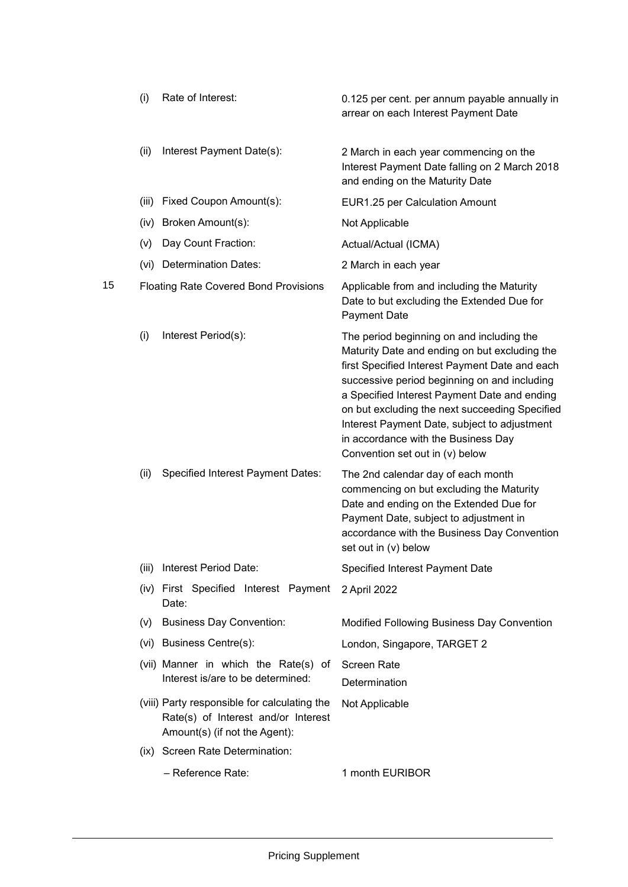|    | (i)   | Rate of Interest:                                                                                                    | 0.125 per cent. per annum payable annually in<br>arrear on each Interest Payment Date                                                                                                                                                                                                                                                                                                                                    |
|----|-------|----------------------------------------------------------------------------------------------------------------------|--------------------------------------------------------------------------------------------------------------------------------------------------------------------------------------------------------------------------------------------------------------------------------------------------------------------------------------------------------------------------------------------------------------------------|
|    | (ii)  | Interest Payment Date(s):                                                                                            | 2 March in each year commencing on the<br>Interest Payment Date falling on 2 March 2018<br>and ending on the Maturity Date                                                                                                                                                                                                                                                                                               |
|    | (iii) | Fixed Coupon Amount(s):                                                                                              | EUR1.25 per Calculation Amount                                                                                                                                                                                                                                                                                                                                                                                           |
|    | (iv)  | Broken Amount(s):                                                                                                    | Not Applicable                                                                                                                                                                                                                                                                                                                                                                                                           |
|    | (v)   | Day Count Fraction:                                                                                                  | Actual/Actual (ICMA)                                                                                                                                                                                                                                                                                                                                                                                                     |
|    | (vi)  | <b>Determination Dates:</b>                                                                                          | 2 March in each year                                                                                                                                                                                                                                                                                                                                                                                                     |
| 15 |       | <b>Floating Rate Covered Bond Provisions</b>                                                                         | Applicable from and including the Maturity<br>Date to but excluding the Extended Due for<br><b>Payment Date</b>                                                                                                                                                                                                                                                                                                          |
|    | (i)   | Interest Period(s):                                                                                                  | The period beginning on and including the<br>Maturity Date and ending on but excluding the<br>first Specified Interest Payment Date and each<br>successive period beginning on and including<br>a Specified Interest Payment Date and ending<br>on but excluding the next succeeding Specified<br>Interest Payment Date, subject to adjustment<br>in accordance with the Business Day<br>Convention set out in (v) below |
|    | (ii)  | <b>Specified Interest Payment Dates:</b>                                                                             | The 2nd calendar day of each month<br>commencing on but excluding the Maturity<br>Date and ending on the Extended Due for<br>Payment Date, subject to adjustment in<br>accordance with the Business Day Convention<br>set out in (v) below                                                                                                                                                                               |
|    | (iii) | Interest Period Date:                                                                                                | Specified Interest Payment Date                                                                                                                                                                                                                                                                                                                                                                                          |
|    |       | (iv) First Specified Interest Payment<br>Date:                                                                       | 2 April 2022                                                                                                                                                                                                                                                                                                                                                                                                             |
|    | (v)   | <b>Business Day Convention:</b>                                                                                      | Modified Following Business Day Convention                                                                                                                                                                                                                                                                                                                                                                               |
|    |       | (vi) Business Centre(s):                                                                                             | London, Singapore, TARGET 2                                                                                                                                                                                                                                                                                                                                                                                              |
|    |       | (vii) Manner in which the Rate(s) of<br>Interest is/are to be determined:                                            | <b>Screen Rate</b><br>Determination                                                                                                                                                                                                                                                                                                                                                                                      |
|    |       | (viii) Party responsible for calculating the<br>Rate(s) of Interest and/or Interest<br>Amount(s) (if not the Agent): | Not Applicable                                                                                                                                                                                                                                                                                                                                                                                                           |
|    |       | (ix) Screen Rate Determination:                                                                                      |                                                                                                                                                                                                                                                                                                                                                                                                                          |
|    |       | - Reference Rate:                                                                                                    | 1 month EURIBOR                                                                                                                                                                                                                                                                                                                                                                                                          |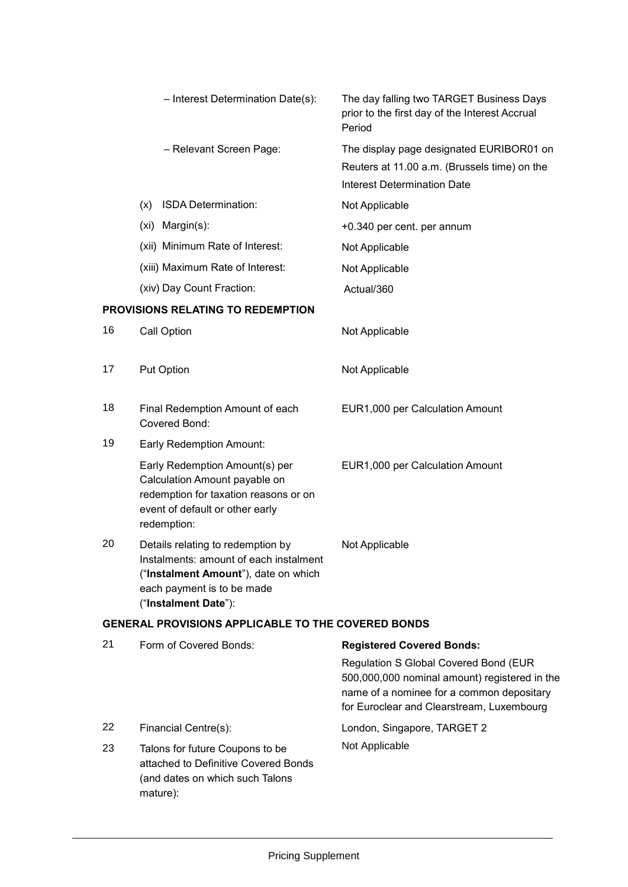|    | - Interest Determination Date(s):                                                                                                                                         | The day falling two TARGET Business Days<br>prior to the first day of the Interest Accrual<br>Period                                                                             |
|----|---------------------------------------------------------------------------------------------------------------------------------------------------------------------------|----------------------------------------------------------------------------------------------------------------------------------------------------------------------------------|
|    | - Relevant Screen Page:                                                                                                                                                   | The display page designated EURIBOR01 on<br>Reuters at 11.00 a.m. (Brussels time) on the<br><b>Interest Determination Date</b>                                                   |
|    | ISDA Determination:<br>(x)                                                                                                                                                | Not Applicable                                                                                                                                                                   |
|    | (xi) Margin(s):                                                                                                                                                           | +0.340 per cent. per annum                                                                                                                                                       |
|    | (xii) Minimum Rate of Interest:                                                                                                                                           | Not Applicable                                                                                                                                                                   |
|    | (xiii) Maximum Rate of Interest:                                                                                                                                          | Not Applicable                                                                                                                                                                   |
|    | (xiv) Day Count Fraction:                                                                                                                                                 | Actual/360                                                                                                                                                                       |
|    | PROVISIONS RELATING TO REDEMPTION                                                                                                                                         |                                                                                                                                                                                  |
| 16 | Call Option                                                                                                                                                               | Not Applicable                                                                                                                                                                   |
| 17 | <b>Put Option</b>                                                                                                                                                         | Not Applicable                                                                                                                                                                   |
| 18 | Final Redemption Amount of each<br>Covered Bond:                                                                                                                          | EUR1,000 per Calculation Amount                                                                                                                                                  |
| 19 | Early Redemption Amount:                                                                                                                                                  |                                                                                                                                                                                  |
|    | Early Redemption Amount(s) per<br>Calculation Amount payable on<br>redemption for taxation reasons or on<br>event of default or other early<br>redemption:                | EUR1,000 per Calculation Amount                                                                                                                                                  |
| 20 | Details relating to redemption by<br>Instalments: amount of each instalment<br>("Instalment Amount"), date on which<br>each payment is to be made<br>("Instalment Date"): | Not Applicable                                                                                                                                                                   |
|    | <b>GENERAL PROVISIONS APPLICABLE TO THE COVERED BONDS</b>                                                                                                                 |                                                                                                                                                                                  |
| 21 | Form of Covered Bonds:                                                                                                                                                    | <b>Registered Covered Bonds:</b>                                                                                                                                                 |
|    |                                                                                                                                                                           | Regulation S Global Covered Bond (EUR<br>500,000,000 nominal amount) registered in the<br>name of a nominee for a common depositary<br>for Euroclear and Clearstream, Luxembourg |
| 22 | Financial Centre(s):                                                                                                                                                      | London, Singapore, TARGET 2                                                                                                                                                      |
| 23 | Talons for future Coupons to be<br>attached to Definitive Covered Bonds                                                                                                   | Not Applicable                                                                                                                                                                   |

(and dates on which such Talons

mature):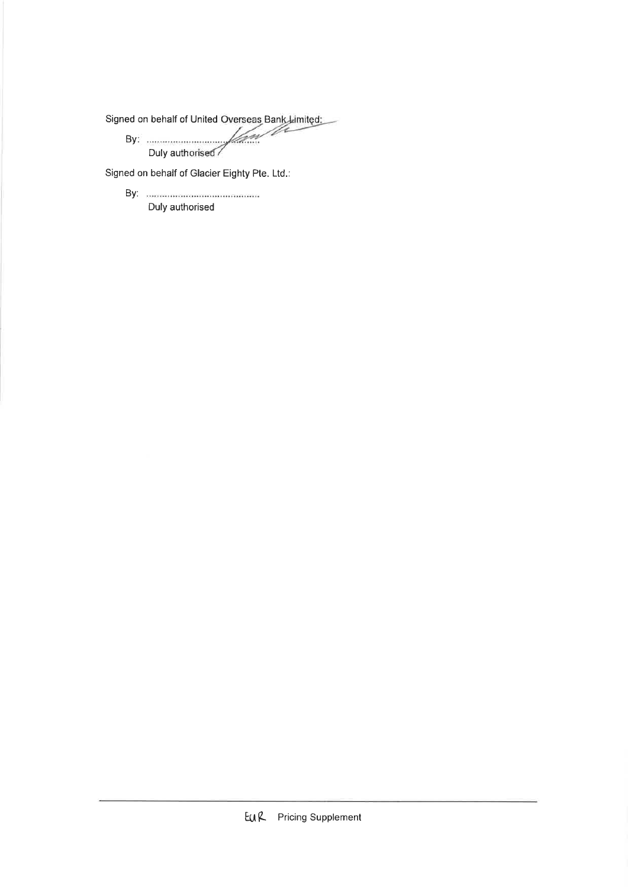Signed on behalf of United Overseas Bank Limited: D

f*lan* Duly authorised

Signed on behalf of Glacier Eighty Pte. Ltd.:

Duly authorised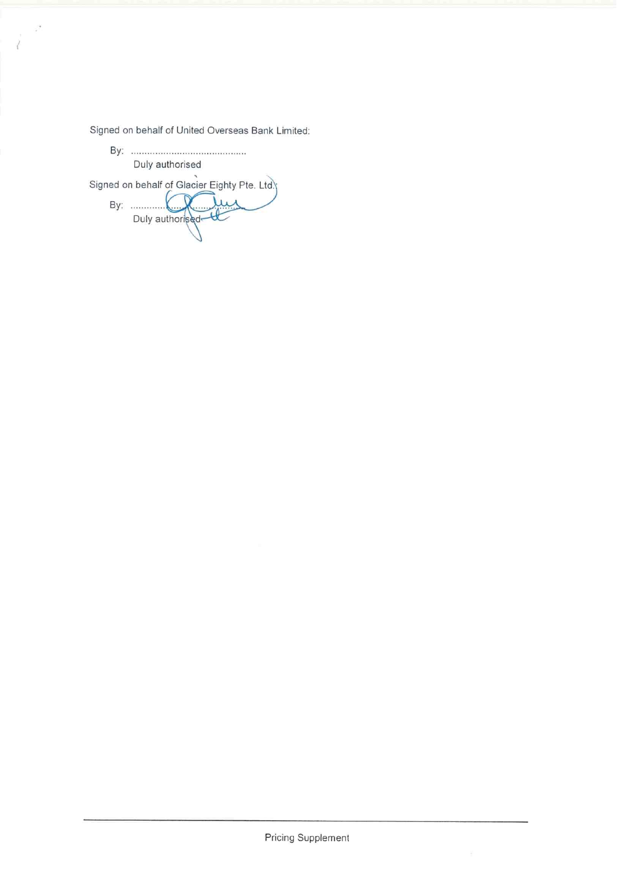Signed on behalf of United Overseas Bank Limited:

Duly authorised Signed on behalf of Glacier Eighty Pte. Ltd.)<br>By: Duly authorised

 $\tilde{\mathcal{F}}$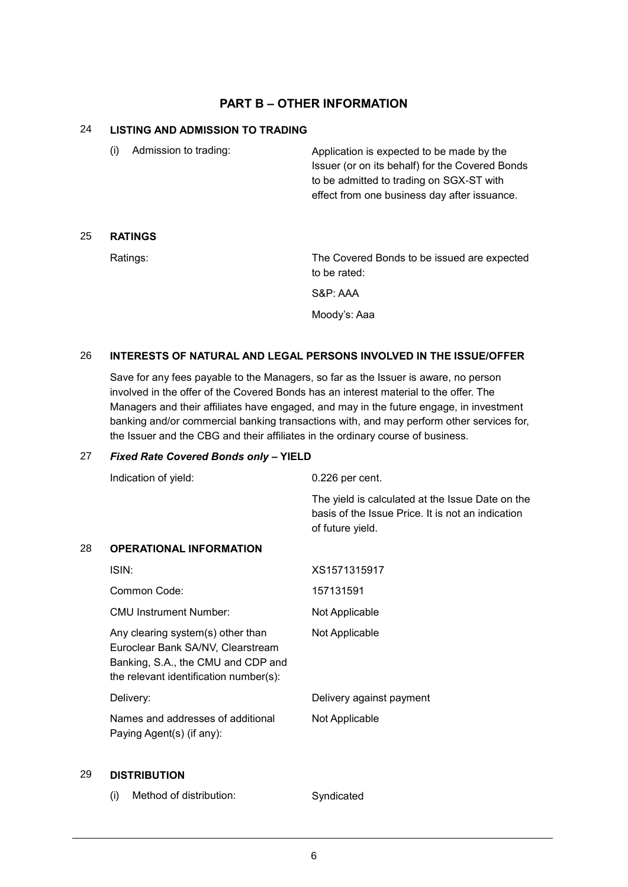## **PART B – OTHER INFORMATION**

### 24 **LISTING AND ADMISSION TO TRADING**

(i) Admission to trading: Application is expected to be made by the Issuer (or on its behalf) for the Covered Bonds to be admitted to trading on SGX-ST with effect from one business day after issuance.

### 25 **RATINGS**

Ratings: The Covered Bonds to be issued are expected to be rated:

S&P: AAA

Moody's: Aaa

### 26 **INTERESTS OF NATURAL AND LEGAL PERSONS INVOLVED IN THE ISSUE/OFFER**

Save for any fees payable to the Managers, so far as the Issuer is aware, no person involved in the offer of the Covered Bonds has an interest material to the offer. The Managers and their affiliates have engaged, and may in the future engage, in investment banking and/or commercial banking transactions with, and may perform other services for, the Issuer and the CBG and their affiliates in the ordinary course of business.

#### 27 *Fixed Rate Covered Bonds only* **– YIELD**

|    | Indication of yield:                                                                                                                                   | $0.226$ per cent.                                                                                                         |
|----|--------------------------------------------------------------------------------------------------------------------------------------------------------|---------------------------------------------------------------------------------------------------------------------------|
|    |                                                                                                                                                        | The yield is calculated at the Issue Date on the<br>basis of the Issue Price. It is not an indication<br>of future yield. |
| 28 | <b>OPERATIONAL INFORMATION</b>                                                                                                                         |                                                                                                                           |
|    | ISIN:                                                                                                                                                  | XS1571315917                                                                                                              |
|    | Common Code:                                                                                                                                           | 157131591                                                                                                                 |
|    | <b>CMU Instrument Number:</b>                                                                                                                          | Not Applicable                                                                                                            |
|    | Any clearing system(s) other than<br>Euroclear Bank SA/NV, Clearstream<br>Banking, S.A., the CMU and CDP and<br>the relevant identification number(s): | Not Applicable                                                                                                            |
|    | Delivery:                                                                                                                                              | Delivery against payment                                                                                                  |
|    | Names and addresses of additional<br>Paying Agent(s) (if any):                                                                                         | Not Applicable                                                                                                            |

#### 29 **DISTRIBUTION**

(i) Method of distribution: Syndicated